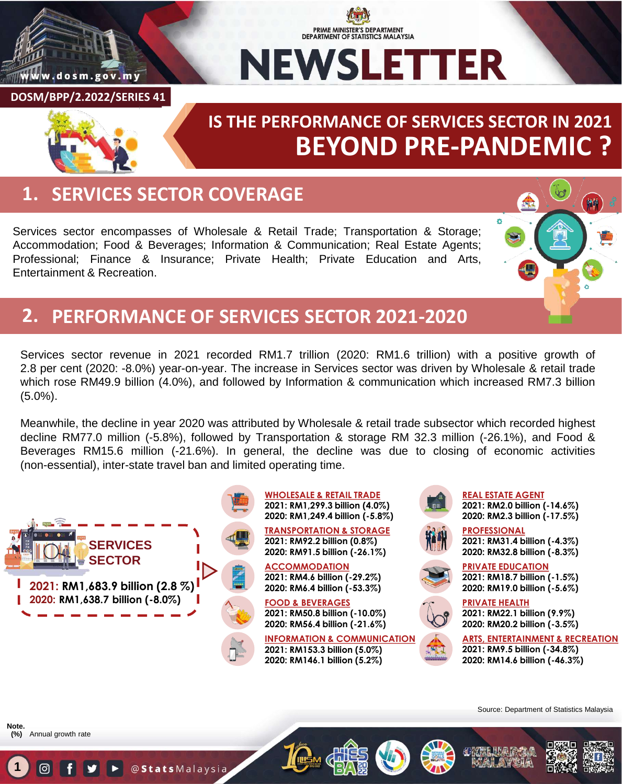

### PRIME MINISTER'S DEPARTMENT **DEPARTMENT OF STATISTICS MALAYSIA NEWSLETTER**

**DOSM/BPP/2.2022/SERIES 41**

# **BEYOND PRE-PANDEMIC ? IS THE PERFORMANCE OF SERVICES SECTOR IN 2021**

## **1. SERVICES SECTOR COVERAGE**

Services sector encompasses of Wholesale & Retail Trade; Transportation & Storage; Accommodation; Food & Beverages; Information & Communication; Real Estate Agents; Professional; Finance & Insurance; Private Health; Private Education and Arts, Entertainment & Recreation.



### **2. PERFORMANCE OF SERVICES SECTOR 2021-2020**

Services sector revenue in 2021 recorded RM1.7 trillion (2020: RM1.6 trillion) with a positive growth of 2.8 per cent (2020: -8.0%) year-on-year. The increase in Services sector was driven by Wholesale & retail trade which rose RM49.9 billion (4.0%), and followed by Information & communication which increased RM7.3 billion (5.0%).

Meanwhile, the decline in year 2020 was attributed by Wholesale & retail trade subsector which recorded highest decline RM77.0 million (-5.8%), followed by Transportation & storage RM 32.3 million (-26.1%), and Food & Beverages RM15.6 million (-21.6%). In general, the decline was due to closing of economic activities (non-essential), inter-state travel ban and limited operating time.



Annual growth rate **(%)Note.**

**1**









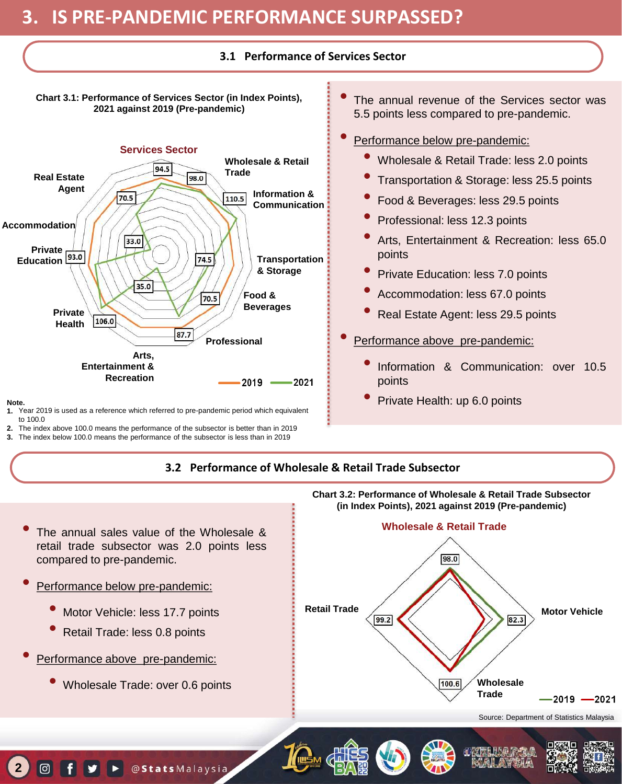#### **3.1 Performance of Services Sector**

**Chart 3.1: Performance of Services Sector (in Index Points), 2021 against 2019 (Pre-pandemic)**



**Note.**

**2**

 $\boxed{0}$ 

- **1.** Year 2019 is used as a reference which referred to pre-pandemic period which equivalent to 100.0
- The index above 100.0 means the performance of the subsector is better than in 2019 **2.**
- The index below 100.0 means the performance of the subsector is less than in 2019 **3.**
- The annual revenue of the Services sector was 5.5 points less compared to pre-pandemic.
- Performance below pre-pandemic:
	- Wholesale & Retail Trade: less 2.0 points
	- Transportation & Storage: less 25.5 points
	- Food & Beverages: less 29.5 points
	- Professional: less 12.3 points
	- Arts, Entertainment & Recreation: less 65.0 points
	- Private Education: less 7.0 points
	- Accommodation: less 67.0 points
	- Real Estate Agent: less 29.5 points
- Performance above pre-pandemic:
	- Information & Communication: over 10.5 points
	- Private Health: up 6.0 points

#### **3.2 Performance of Wholesale & Retail Trade Subsector**

- The annual sales value of the Wholesale & retail trade subsector was 2.0 points less compared to pre-pandemic.
- Performance below pre-pandemic:
	- Motor Vehicle: less 17.7 points
	- Retail Trade: less 0.8 points
- Performance above pre-pandemic:
	- Wholesale Trade: over 0.6 points

 $\triangleright$  @ Stats Malaysia



**Chart 3.2: Performance of Wholesale & Retail Trade Subsector**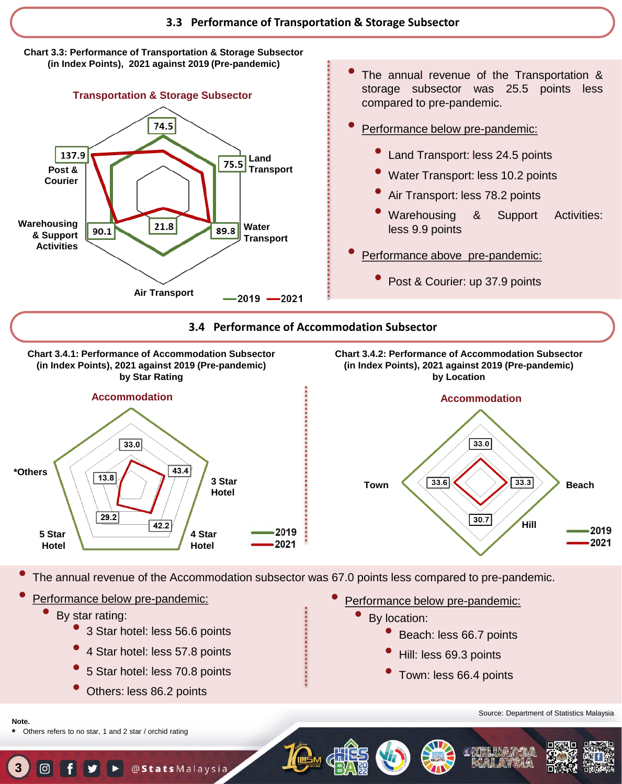



- The annual revenue of the Transportation & storage subsector was 25.5 points less compared to pre-pandemic.
- Performance below pre-pandemic:
	- Land Transport: less 24.5 points
	- Water Transport: less 10.2 points
	- Air Transport: less 78.2 points
	- Warehousing & Support Activities: less 9.9 points
- Performance above pre-pandemic:
	- Post & Courier: up 37.9 points

#### **3.4 Performance of Accommodation Subsector**



• The annual revenue of the Accommodation subsector was 67.0 points less compared to pre-pandemic.

- Performance below pre-pandemic:
	- By star rating:
		- <sup>3</sup> Star hotel: less 56.6 points
		- <sup>4</sup> Star hotel: less 57.8 points
		- <sup>5</sup> Star hotel: less 70.8 points
		- Others: less 86.2 points
- Performance below pre-pandemic:
	- By location:
		- Beach: less 66.7 points
		- Hill: less 69.3 points
		- Town: less 66.4 points

Source: Department of Statistics Malaysia



Others refers to no star, 1 and 2 star / orchid rating

**Note. \***

**3**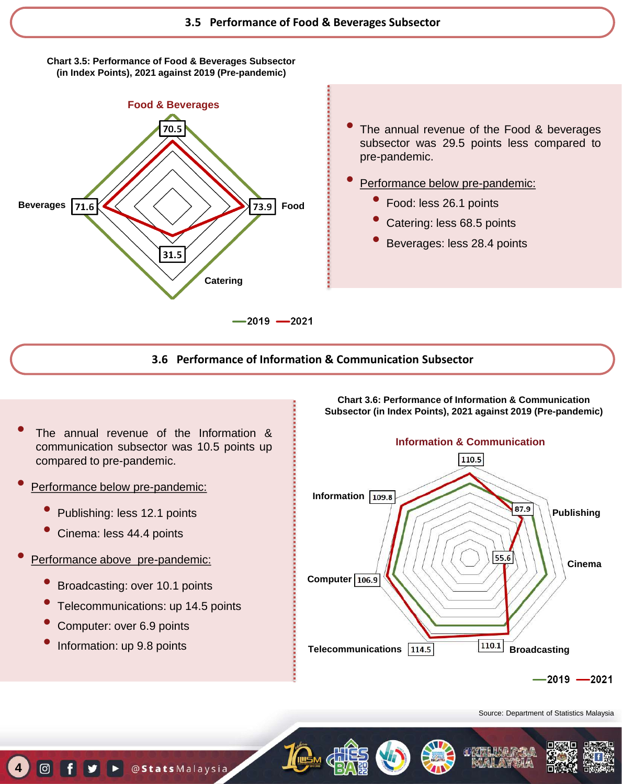**Chart 3.5: Performance of Food & Beverages Subsector (in Index Points), 2021 against 2019 (Pre-pandemic)**



- The annual revenue of the Food & beverages subsector was 29.5 points less compared to pre-pandemic.
- Performance below pre-pandemic:
	- Food: less 26.1 points
	- Catering: less 68.5 points
	- Beverages: less 28.4 points

#### **3.6 Performance of Information & Communication Subsector**

- The annual revenue of the Information & communication subsector was 10.5 points up compared to pre-pandemic.
- Performance below pre-pandemic:
	- Publishing: less 12.1 points
	- Cinema: less 44.4 points
- Performance above pre-pandemic:
	- Broadcasting: over 10.1 points
	- Telecommunications: up 14.5 points
	- Computer: over 6.9 points
	- Information: up 9.8 points

**4**

 $\lceil$ 



**Chart 3.6: Performance of Information & Communication Subsector (in Index Points), 2021 against 2019 (Pre-pandemic)**

 $-2019 - 2021$ 

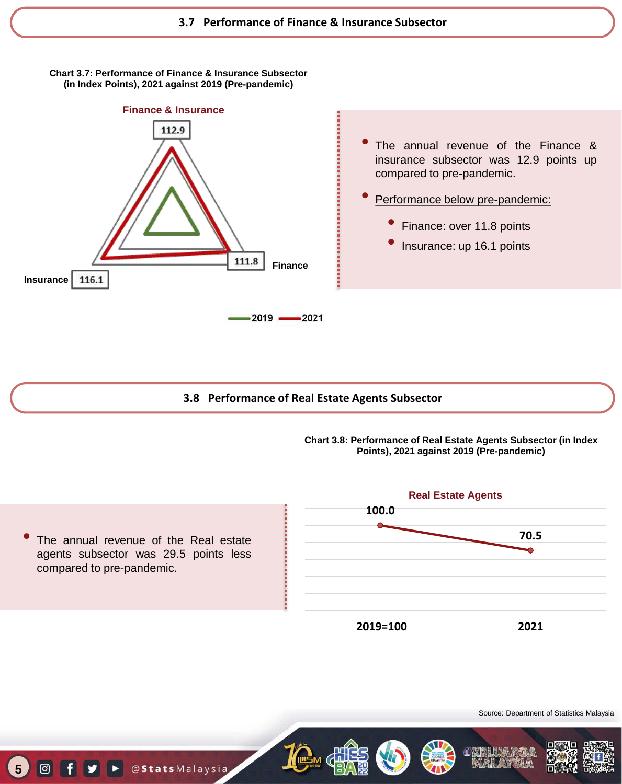**Chart 3.7: Performance of Finance & Insurance Subsector (in Index Points), 2021 against 2019 (Pre-pandemic)**



StatsMalaysia

**5**

Of y

- The annual revenue of the Finance & insurance subsector was 12.9 points up compared to pre-pandemic.
- Performance below pre-pandemic:
	- Finance: over 11.8 points
	- Insurance: up 16.1 points

**3.8 Performance of Real Estate Agents Subsector** 

**Chart 3.8: Performance of Real Estate Agents Subsector (in Index Points), 2021 against 2019 (Pre-pandemic)**

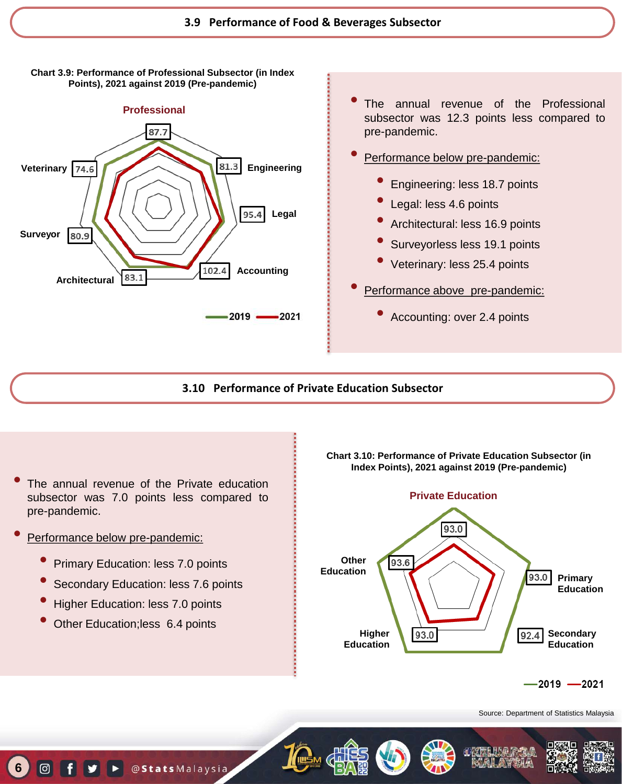



- The annual revenue of the Professional subsector was 12.3 points less compared to pre-pandemic.
- Performance below pre-pandemic:
	- Engineering: less 18.7 points
	- Legal: less 4.6 points
	- Architectural: less 16.9 points
	- Surveyorless less 19.1 points
	- Veterinary: less 25.4 points
- Performance above pre-pandemic:
	- Accounting: over 2.4 points

#### **3.10 Performance of Private Education Subsector**

- The annual revenue of the Private education subsector was 7.0 points less compared to pre-pandemic.
- Performance below pre-pandemic:

**6**

 $\boxed{0}$ 

- Primary Education: less 7.0 points
- Secondary Education: less 7.6 points
- Higher Education: less 7.0 points
- Other Education;less 6.4 points





 $-2019 - 2021$